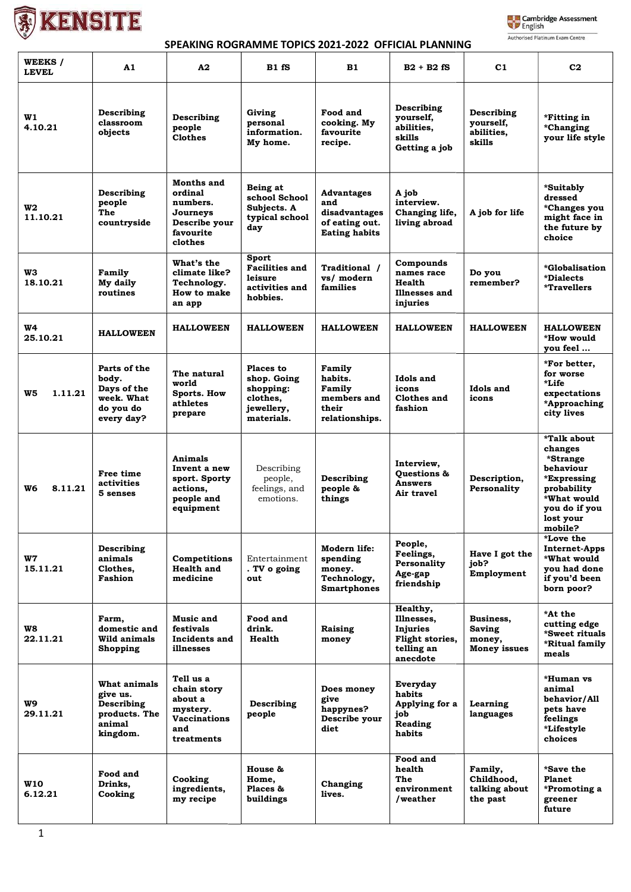

## **Lake Cambridge Assessment**<br>
Signalish Authorised Platinum Exam Centre

## SPEAKING ROGRAMME TOPICS 2021-2022 OFFICIAL PLANNING

| WEEKS /<br><b>LEVEL</b> | A1                                                                            | A2                                                                                     | B1fS                                                                          | <b>B1</b>                                                                           | $B2 + B2 fS$                                                                    | C1                                                   | C <sub>2</sub>                                                                                                                        |
|-------------------------|-------------------------------------------------------------------------------|----------------------------------------------------------------------------------------|-------------------------------------------------------------------------------|-------------------------------------------------------------------------------------|---------------------------------------------------------------------------------|------------------------------------------------------|---------------------------------------------------------------------------------------------------------------------------------------|
| W1<br>4.10.21           | Describing<br>classroom<br>objects                                            | Describing<br>people<br><b>Clothes</b>                                                 | Giving<br>personal<br>information.<br>My home.                                | Food and<br>cooking. My<br>favourite<br>recipe.                                     | Describing<br>yourself,<br>abilities,<br>skills<br>Getting a job                | Describing<br>yourself,<br>abilities,<br>skills      | *Fitting in<br>*Changing<br>your life style                                                                                           |
| W2<br>11.10.21          | Describing<br>people<br>The<br>countryside                                    | Months and<br>ordinal<br>numbers.<br>Journeys<br>Describe your<br>favourite<br>clothes | Being at<br>school School<br>Subjects. A<br>typical school<br>day             | <b>Advantages</b><br>and<br>disadvantages<br>of eating out.<br><b>Eating habits</b> | A job<br>interview.<br>Changing life,<br>living abroad                          | A job for life                                       | *Suitably<br>dressed<br><i>*Changes you</i><br>might face in<br>the future by<br>choice                                               |
| WЗ<br>18.10.21          | Family<br>My daily<br>routines                                                | What's the<br>climate like?<br>Technology.<br>How to make<br>an app                    | Sport<br><b>Facilities and</b><br>leisure<br>activities and<br>hobbies.       | Traditional /<br>vs/ modern<br>families                                             | Compounds<br>names race<br>Health<br>Illnesses and<br>injuries                  | Do you<br>remember?                                  | *Globalisation<br>*Dialects<br>*Travellers                                                                                            |
| W4<br>25.10.21          | <b>HALLOWEEN</b>                                                              | <b>HALLOWEEN</b>                                                                       | <b>HALLOWEEN</b>                                                              | <b>HALLOWEEN</b>                                                                    | <b>HALLOWEEN</b>                                                                | <b>HALLOWEEN</b>                                     | <b>HALLOWEEN</b><br>*How would<br>you feel                                                                                            |
| W5<br>1.11.21           | Parts of the<br>body.<br>Days of the<br>week. What<br>do you do<br>every day? | The natural<br>world<br><b>Sports. How</b><br>athletes<br>prepare                      | Places to<br>shop. Going<br>shopping:<br>clothes,<br>jewellery,<br>materials. | Family<br>habits.<br>Family<br>members and<br>their<br>relationships.               | Idols and<br>icons<br>Clothes and<br>fashion                                    | Idols and<br>icons                                   | *For better,<br>for worse<br>*Life<br>expectations<br>*Approaching<br>city lives                                                      |
| W6<br>8.11.21           | Free time<br>activities<br>5 senses                                           | Animals<br>Invent a new<br>sport. Sporty<br>actions,<br>people and<br>equipment        | Describing<br>people,<br>feelings, and<br>emotions.                           | Describing<br>people &<br>things                                                    | Interview,<br><b>Ouestions &amp;</b><br><b>Answers</b><br>Air travel            | Description,<br>Personality                          | *Talk about<br>changes<br>*Strange<br>behaviour<br>*Expressing<br>probability<br>*What would<br>you do if you<br>lost your<br>mobile? |
| W7<br>15.11.21          | Describing<br>animals<br>Clothes,<br>Fashion                                  | <b>Competitions</b><br><b>Health and</b><br>medicine                                   | Entertainment<br>. TV o going<br>out                                          | Modern life:<br>spending<br>money.<br>Technology,<br><b>Smartphones</b>             | People,<br>Feelings,<br>Personality<br>Age-gap<br>friendship                    | Have I got the<br>job?<br>Employment                 | *Love the<br><b>Internet-Apps</b><br>*What would<br>you had done<br>if you'd been<br>born poor?                                       |
| W8<br>22.11.21          | Farm,<br>domestic and<br>Wild animals<br><b>Shopping</b>                      | Music and<br>festivals<br>Incidents and<br>illnesses                                   | Food and<br>drink.<br>Health                                                  | Raising<br>money                                                                    | Healthy,<br>Illnesses,<br>Injuries<br>Flight stories,<br>telling an<br>anecdote | Business.<br>Saving<br>money,<br><b>Money issues</b> | *At the<br>cutting edge<br>*Sweet rituals<br>*Ritual family<br>meals                                                                  |
| W9<br>29.11.21          | What animals<br>give us.<br>Describing<br>products. The<br>animal<br>kingdom. | Tell us a<br>chain story<br>about a<br>mystery.<br>Vaccinations<br>and<br>treatments   | Describing<br>people                                                          | Does money<br>give<br>happynes?<br>Describe your<br>diet                            | Everyday<br>habits<br>Applying for a<br>job<br>Reading<br>habits                | Learning<br>languages                                | *Human vs<br>animal<br>behavior/All<br>pets have<br>feelings<br><i>*</i> Lifestyle<br>choices                                         |
| W10<br>6.12.21          | Food and<br>Drinks,<br>Cooking                                                | Cooking<br>ingredients,<br>my recipe                                                   | House &<br>Home,<br>Places &<br>buildings                                     | Changing<br>lives.                                                                  | Food and<br>health<br>The<br>environment<br>/weather                            | Family,<br>Childhood,<br>talking about<br>the past   | *Save the<br>Planet<br>*Promoting a<br>greener<br>future                                                                              |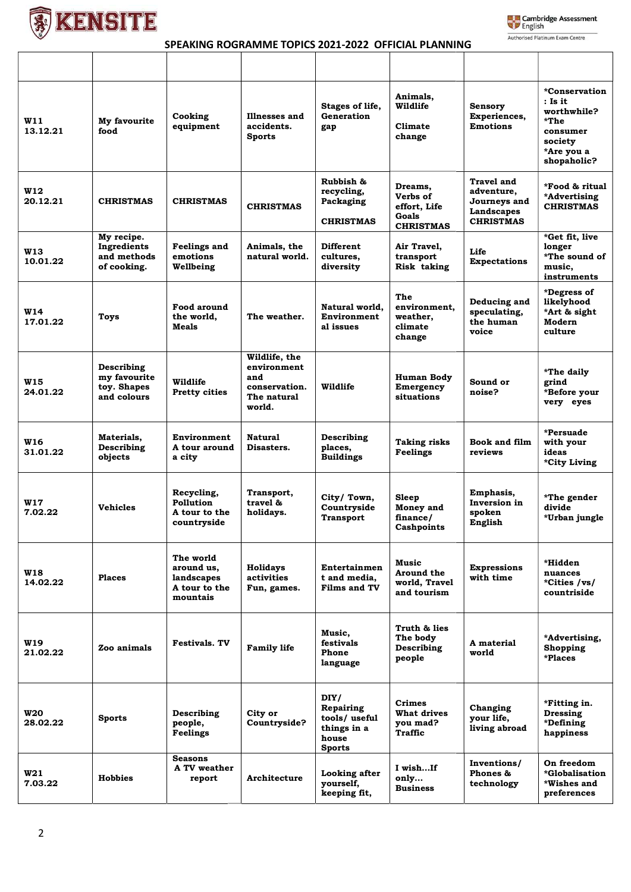



٦

## SPEAKING ROGRAMME TOPICS 2021-2022 OFFICIAL PLANNING

| <b>W11</b><br>13.12.21 | My favourite<br>food                                     | Cooking<br>equipment                                               | Illnesses and<br>accidents.<br><b>Sports</b>                                  | Stages of life,<br>Generation<br>gap                                       | Animals,<br>Wildlife<br>Climate<br>change                        | Sensory<br>Experiences,<br><b>Emotions</b>                                 | *Conservation<br>$:$ Is it<br>worthwhile?<br>*The<br>consumer<br>society<br>*Are you a<br>shopaholic? |
|------------------------|----------------------------------------------------------|--------------------------------------------------------------------|-------------------------------------------------------------------------------|----------------------------------------------------------------------------|------------------------------------------------------------------|----------------------------------------------------------------------------|-------------------------------------------------------------------------------------------------------|
| <b>W12</b><br>20.12.21 | <b>CHRISTMAS</b>                                         | <b>CHRISTMAS</b>                                                   | <b>CHRISTMAS</b>                                                              | Rubbish &<br>recycling,<br>Packaging<br><b>CHRISTMAS</b>                   | Dreams.<br>Verbs of<br>effort. Life<br>Goals<br><b>CHRISTMAS</b> | Travel and<br>adventure,<br>Journeys and<br>Landscapes<br><b>CHRISTMAS</b> | *Food & ritual<br>*Advertising<br><b>CHRISTMAS</b>                                                    |
| <b>W13</b><br>10.01.22 | My recipe.<br>Ingredients<br>and methods<br>of cooking.  | <b>Feelings and</b><br>emotions<br>Wellbeing                       | Animals, the<br>natural world.                                                | Different<br>cultures,<br>diversity                                        | Air Travel,<br>transport<br>Risk taking                          | Life<br><b>Expectations</b>                                                | *Get fit, live<br>longer<br>*The sound of<br>music.<br>instruments                                    |
| <b>W14</b><br>17.01.22 | Toys                                                     | Food around<br>the world.<br>Meals                                 | The weather.                                                                  | Natural world.<br>Environment<br>al issues                                 | The<br>environment,<br>weather,<br>climate<br>change             | Deducing and<br>speculating,<br>the human<br>voice                         | *Degress of<br>likelyhood<br>*Art & sight<br>Modern<br>culture                                        |
| W15<br>24.01.22        | Describing<br>my favourite<br>toy. Shapes<br>and colours | Wildlife<br><b>Pretty cities</b>                                   | Wildlife, the<br>environment<br>and<br>conservation.<br>The natural<br>world. | Wildlife                                                                   | Human Body<br>Emergency<br>situations                            | Sound or<br>noise?                                                         | *The daily<br>grind<br>*Before your<br>very eyes                                                      |
| <b>W16</b><br>31.01.22 | Materials,<br>Describing<br>objects                      | Environment<br>A tour around<br>a city                             | <b>Natural</b><br>Disasters.                                                  | Describing<br>places,<br><b>Buildings</b>                                  | <b>Taking risks</b><br>Feelings                                  | <b>Book and film</b><br>reviews                                            | *Persuade<br>with your<br>ideas<br>*City Living                                                       |
| <b>W17</b><br>7.02.22  | <b>Vehicles</b>                                          | Recycling,<br>Pollution<br>A tour to the<br>countryside            | Transport,<br>travel &<br>holidays.                                           | City/Town,<br>Countryside<br>Transport                                     | Sleep<br>Money and<br>finance/<br>Cashpoints                     | Emphasis,<br>Inversion in<br>spoken<br>English                             | *The gender<br>divide<br>*Urban jungle                                                                |
| <b>W18</b><br>14.02.22 | <b>Places</b>                                            | The world<br>around us.<br>landscapes<br>A tour to the<br>mountais | <b>Holidays</b><br>activities<br>Fun, games.                                  | Entertainmen<br>t and media.<br><b>Films and TV</b>                        | Music<br>Around the<br>world, Travel<br>and tourism              | <b>Expressions</b><br>with time                                            | *Hidden<br>nuances<br>*Cities /vs/<br>countriside                                                     |
| <b>W19</b><br>21.02.22 | Zoo animals                                              | <b>Festivals. TV</b>                                               | <b>Family life</b>                                                            | Music.<br>festivals<br>Phone<br>language                                   | Truth & lies<br>The body<br>Describing<br>people                 | A material<br>world                                                        | *Advertising,<br>Shopping<br>*Places                                                                  |
| <b>W20</b><br>28.02.22 | <b>Sports</b>                                            | Describing<br>people,<br>Feelings                                  | City or<br>Countryside?                                                       | DIY/<br>Repairing<br>tools/useful<br>things in a<br>house<br><b>Sports</b> | <b>Crimes</b><br>What drives<br>you mad?<br>Traffic              | Changing<br>your life,<br>living abroad                                    | *Fitting in.<br>Dressing<br>*Defining<br>happiness                                                    |
| W21<br>7.03.22         | <b>Hobbies</b>                                           | <b>Seasons</b><br>A TV weather<br>report                           | Architecture                                                                  | Looking after<br>yourself,<br>keeping fit,                                 | I wishIf<br>only<br><b>Business</b>                              | Inventions/<br>Phones &<br>technology                                      | On freedom<br>*Globalisation<br>*Wishes and<br>preferences                                            |